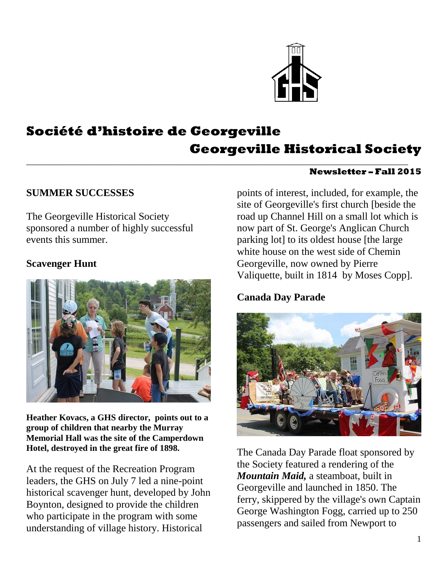

# **Société d'histoire de Georgeville Georgeville Historical Society**

\_\_\_\_\_\_\_\_\_\_\_\_\_\_\_\_\_\_\_\_\_\_\_\_\_\_\_\_\_\_\_\_\_\_\_\_\_\_\_\_\_\_\_\_\_\_\_\_\_\_\_\_\_\_\_\_\_\_\_\_\_\_\_\_\_\_\_\_\_\_\_\_\_\_\_\_\_\_\_\_\_\_\_\_\_\_\_

#### **Newsletter – Fall 2015**

#### **SUMMER SUCCESSES**

The Georgeville Historical Society sponsored a number of highly successful events this summer.

#### **Scavenger Hunt**



**Heather Kovacs, a GHS director, points out to a group of children that nearby the Murray Memorial Hall was the site of the Camperdown Hotel, destroyed in the great fire of 1898.**

At the request of the Recreation Program leaders, the GHS on July 7 led a nine-point historical scavenger hunt, developed by John Boynton, designed to provide the children who participate in the program with some understanding of village history. Historical

points of interest, included, for example, the site of Georgeville's first church [beside the road up Channel Hill on a small lot which is now part of St. George's Anglican Church parking lot] to its oldest house [the large white house on the west side of Chemin Georgeville, now owned by Pierre Valiquette, built in 1814 by Moses Copp].

### **Canada Day Parade**



The Canada Day Parade float sponsored by the Society featured a rendering of the *Mountain Maid,* a steamboat, built in Georgeville and launched in 1850. The ferry, skippered by the village's own Captain George Washington Fogg, carried up to 250 passengers and sailed from Newport to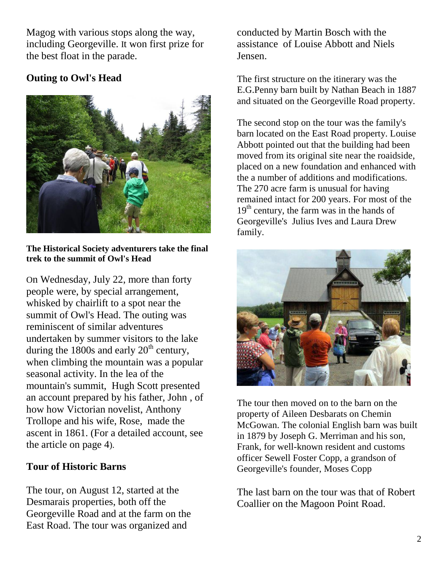Magog with various stops along the way, including Georgeville. It won first prize for the best float in the parade.

# **Outing to Owl's Head**



**The Historical Society adventurers take the final trek to the summit of Owl's Head**

On Wednesday, July 22, more than forty people were, by special arrangement, whisked by chairlift to a spot near the summit of Owl's Head. The outing was reminiscent of similar adventures undertaken by summer visitors to the lake during the 1800s and early  $20<sup>th</sup>$  century, when climbing the mountain was a popular seasonal activity. In the lea of the mountain's summit, Hugh Scott presented an account prepared by his father, John , of how how Victorian novelist, Anthony Trollope and his wife, Rose, made the ascent in 1861. (For a detailed account, see the article on page 4).

### **Tour of Historic Barns**

The tour, on August 12, started at the Desmarais properties, both off the Georgeville Road and at the farm on the East Road. The tour was organized and

conducted by Martin Bosch with the assistance of Louise Abbott and Niels Jensen.

The first structure on the itinerary was the E.G.Penny barn built by Nathan Beach in 1887 and situated on the Georgeville Road property.

The second stop on the tour was the family's barn located on the East Road property. Louise Abbott pointed out that the building had been moved from its original site near the roaidside, placed on a new foundation and enhanced with the a number of additions and modifications. The 270 acre farm is unusual for having remained intact for 200 years. For most of the  $19<sup>th</sup>$  century, the farm was in the hands of Georgeville's Julius Ives and Laura Drew family.



The tour then moved on to the barn on the property of Aileen Desbarats on Chemin McGowan. The colonial English barn was built in 1879 by Joseph G. Merriman and his son, Frank, for well-known resident and customs officer Sewell Foster Copp, a grandson of Georgeville's founder, Moses Copp

The last barn on the tour was that of Robert Coallier on the Magoon Point Road.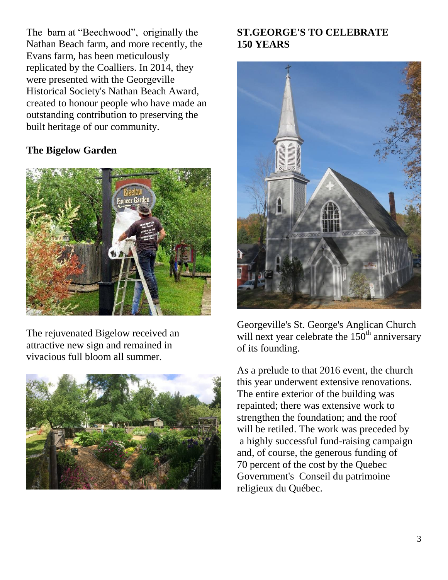The barn at "Beechwood", originally the Nathan Beach farm, and more recently, the Evans farm, has been meticulously replicated by the Coalliers. In 2014, they were presented with the Georgeville Historical Society's Nathan Beach Award, created to honour people who have made an outstanding contribution to preserving the built heritage of our community.

## **The Bigelow Garden**



The rejuvenated Bigelow received an attractive new sign and remained in vivacious full bloom all summer.



# **ST.GEORGE'S TO CELEBRATE 150 YEARS**



Georgeville's St. George's Anglican Church will next year celebrate the  $150<sup>th</sup>$  anniversary of its founding.

As a prelude to that 2016 event, the church this year underwent extensive renovations. The entire exterior of the building was repainted; there was extensive work to strengthen the foundation; and the roof will be retiled. The work was preceded by a highly successful fund-raising campaign and, of course, the generous funding of 70 percent of the cost by the Quebec Government's Conseil du patrimoine religieux du Québec.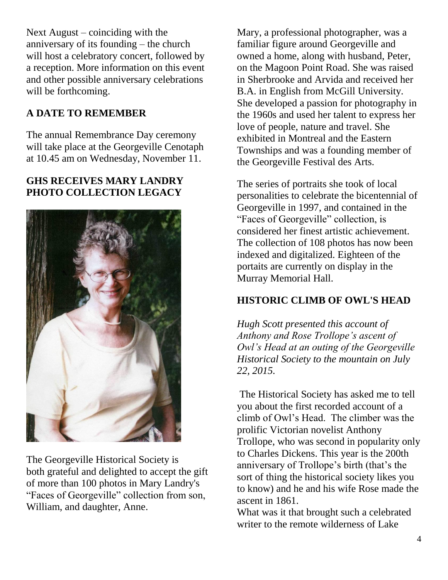Next August – coinciding with the anniversary of its founding – the church will host a celebratory concert, followed by a reception. More information on this event and other possible anniversary celebrations will be forthcoming.

# **A DATE TO REMEMBER**

The annual Remembrance Day ceremony will take place at the Georgeville Cenotaph at 10.45 am on Wednesday, November 11.

# **GHS RECEIVES MARY LANDRY PHOTO COLLECTION LEGACY**



The Georgeville Historical Society is both grateful and delighted to accept the gift of more than 100 photos in Mary Landry's "Faces of Georgeville" collection from son, William, and daughter, Anne.

Mary, a professional photographer, was a familiar figure around Georgeville and owned a home, along with husband, Peter, on the Magoon Point Road. She was raised in Sherbrooke and Arvida and received her B.A. in English from McGill University. She developed a passion for photography in the 1960s and used her talent to express her love of people, nature and travel. She exhibited in Montreal and the Eastern Townships and was a founding member of the Georgeville Festival des Arts.

The series of portraits she took of local personalities to celebrate the bicentennial of Georgeville in 1997, and contained in the "Faces of Georgeville" collection, is considered her finest artistic achievement. The collection of 108 photos has now been indexed and digitalized. Eighteen of the portaits are currently on display in the Murray Memorial Hall.

### **HISTORIC CLIMB OF OWL'S HEAD**

*Hugh Scott presented this account of Anthony and Rose Trollope's ascent of Owl's Head at an outing of the Georgeville Historical Society to the mountain on July 22, 2015.*

The Historical Society has asked me to tell you about the first recorded account of a climb of Owl's Head. The climber was the prolific Victorian novelist Anthony Trollope, who was second in popularity only to Charles Dickens. This year is the 200th anniversary of Trollope's birth (that's the sort of thing the historical society likes you to know) and he and his wife Rose made the ascent in 1861.

What was it that brought such a celebrated writer to the remote wilderness of Lake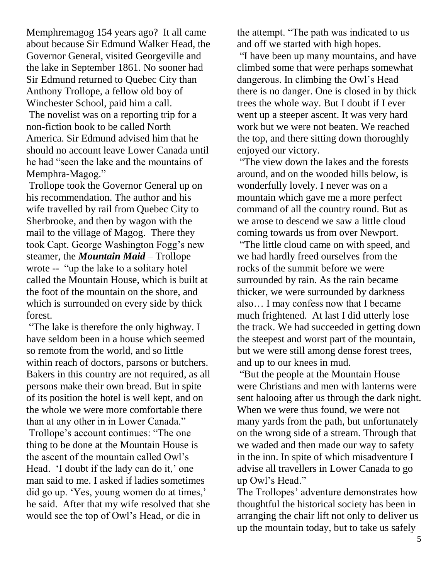Memphremagog 154 years ago? It all came about because Sir Edmund Walker Head, the Governor General, visited Georgeville and the lake in September 1861. No sooner had Sir Edmund returned to Quebec City than Anthony Trollope, a fellow old boy of Winchester School, paid him a call.

The novelist was on a reporting trip for a non-fiction book to be called North America. Sir Edmund advised him that he should no account leave Lower Canada until he had "seen the lake and the mountains of Memphra-Magog."

Trollope took the Governor General up on his recommendation. The author and his wife travelled by rail from Quebec City to Sherbrooke, and then by wagon with the mail to the village of Magog. There they took Capt. George Washington Fogg's new steamer, the *Mountain Maid* – Trollope wrote -- "up the lake to a solitary hotel called the Mountain House, which is built at the foot of the mountain on the shore, and which is surrounded on every side by thick forest.

"The lake is therefore the only highway. I have seldom been in a house which seemed so remote from the world, and so little within reach of doctors, parsons or butchers. Bakers in this country are not required, as all persons make their own bread. But in spite of its position the hotel is well kept, and on the whole we were more comfortable there than at any other in in Lower Canada." Trollope's account continues: "The one thing to be done at the Mountain House is the ascent of the mountain called Owl's Head. 'I doubt if the lady can do it,' one man said to me. I asked if ladies sometimes did go up. 'Yes, young women do at times,' he said. After that my wife resolved that she would see the top of Owl's Head, or die in

the attempt. "The path was indicated to us and off we started with high hopes.

"I have been up many mountains, and have climbed some that were perhaps somewhat dangerous. In climbing the Owl's Head there is no danger. One is closed in by thick trees the whole way. But I doubt if I ever went up a steeper ascent. It was very hard work but we were not beaten. We reached the top, and there sitting down thoroughly enjoyed our victory.

"The view down the lakes and the forests around, and on the wooded hills below, is wonderfully lovely. I never was on a mountain which gave me a more perfect command of all the country round. But as we arose to descend we saw a little cloud coming towards us from over Newport.

"The little cloud came on with speed, and we had hardly freed ourselves from the rocks of the summit before we were surrounded by rain. As the rain became thicker, we were surrounded by darkness also… I may confess now that I became much frightened. At last I did utterly lose the track. We had succeeded in getting down the steepest and worst part of the mountain, but we were still among dense forest trees, and up to our knees in mud.

"But the people at the Mountain House were Christians and men with lanterns were sent halooing after us through the dark night. When we were thus found, we were not many yards from the path, but unfortunately on the wrong side of a stream. Through that we waded and then made our way to safety in the inn. In spite of which misadventure I advise all travellers in Lower Canada to go up Owl's Head."

The Trollopes' adventure demonstrates how thoughtful the historical society has been in arranging the chair lift not only to deliver us up the mountain today, but to take us safely